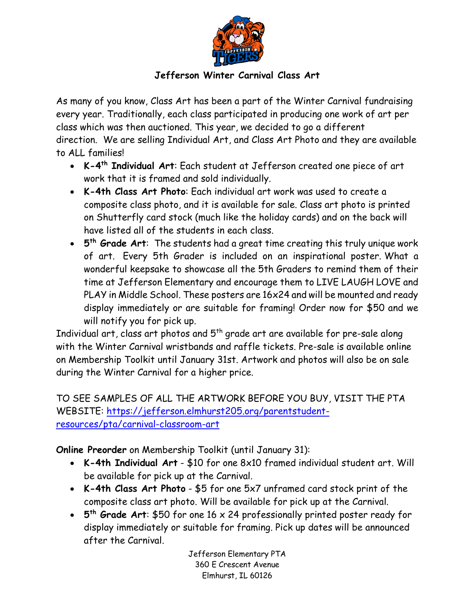

## **Jefferson Winter Carnival Class Art**

As many of you know, Class Art has been a part of the Winter Carnival fundraising every year. Traditionally, each class participated in producing one work of art per class which was then auctioned. This year, we decided to go a different direction. We are selling Individual Art, and Class Art Photo and they are available to ALL families!

- **K-4th Individual Art**: Each student at Jefferson created one piece of art work that it is framed and sold individually.
- **K-4th Class Art Photo**: Each individual art work was used to create a composite class photo, and it is available for sale. Class art photo is printed on Shutterfly card stock (much like the holiday cards) and on the back will have listed all of the students in each class.
- **5th Grade Art**: The students had a great time creating this truly unique work of art. Every 5th Grader is included on an inspirational poster. What a wonderful keepsake to showcase all the 5th Graders to remind them of their time at Jefferson Elementary and encourage them to LIVE LAUGH LOVE and PLAY in Middle School. These posters are 16x24 and will be mounted and ready display immediately or are suitable for framing! Order now for \$50 and we will notify you for pick up.

Individual art, class art photos and  $5<sup>th</sup>$  grade art are available for pre-sale along with the Winter Carnival wristbands and raffle tickets. Pre-sale is available online on Membership Toolkit until January 31st. Artwork and photos will also be on sale during the Winter Carnival for a higher price.

TO SEE SAMPLES OF ALL THE ARTWORK BEFORE YOU BUY, VISIT THE PTA WEBSITE: https://jefferson.elmhurst205.org/parentstudentresources/pta/carnival-classroom-art

**Online Preorder** on Membership Toolkit (until January 31):

- **K-4th Individual Art** \$10 for one 8x10 framed individual student art. Will be available for pick up at the Carnival.
- **K-4th Class Art Photo** \$5 for one 5x7 unframed card stock print of the composite class art photo. Will be available for pick up at the Carnival.
- **5th Grade Art**: \$50 for one 16 x 24 professionally printed poster ready for display immediately or suitable for framing. Pick up dates will be announced after the Carnival.

Jefferson Elementary PTA 360 E Crescent Avenue Elmhurst, IL 60126